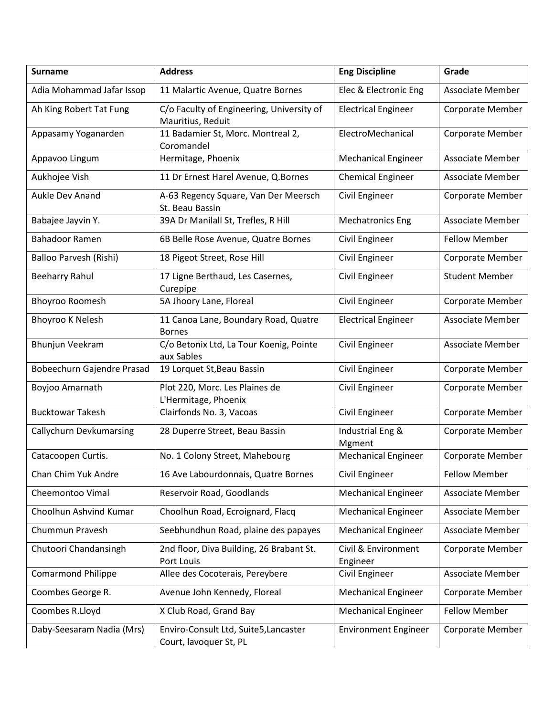| <b>Surname</b>                 | <b>Address</b>                                                  | <b>Eng Discipline</b>           | Grade                   |
|--------------------------------|-----------------------------------------------------------------|---------------------------------|-------------------------|
| Adia Mohammad Jafar Issop      | 11 Malartic Avenue, Quatre Bornes                               | Elec & Electronic Eng           | <b>Associate Member</b> |
| Ah King Robert Tat Fung        | C/o Faculty of Engineering, University of<br>Mauritius, Reduit  | <b>Electrical Engineer</b>      | Corporate Member        |
| Appasamy Yoganarden            | 11 Badamier St, Morc. Montreal 2,<br>Coromandel                 | ElectroMechanical               | Corporate Member        |
| Appavoo Lingum                 | Hermitage, Phoenix                                              | <b>Mechanical Engineer</b>      | <b>Associate Member</b> |
| Aukhojee Vish                  | 11 Dr Ernest Harel Avenue, Q.Bornes                             | <b>Chemical Engineer</b>        | Associate Member        |
| Aukle Dev Anand                | A-63 Regency Square, Van Der Meersch<br>St. Beau Bassin         | Civil Engineer                  | Corporate Member        |
| Babajee Jayvin Y.              | 39A Dr Manilall St, Trefles, R Hill                             | <b>Mechatronics Eng</b>         | Associate Member        |
| <b>Bahadoor Ramen</b>          | 6B Belle Rose Avenue, Quatre Bornes                             | Civil Engineer                  | <b>Fellow Member</b>    |
| Balloo Parvesh (Rishi)         | 18 Pigeot Street, Rose Hill                                     | Civil Engineer                  | Corporate Member        |
| <b>Beeharry Rahul</b>          | 17 Ligne Berthaud, Les Casernes,<br>Curepipe                    | Civil Engineer                  | <b>Student Member</b>   |
| <b>Bhoyroo Roomesh</b>         | 5A Jhoory Lane, Floreal                                         | Civil Engineer                  | <b>Corporate Member</b> |
| <b>Bhoyroo K Nelesh</b>        | 11 Canoa Lane, Boundary Road, Quatre<br><b>Bornes</b>           | <b>Electrical Engineer</b>      | Associate Member        |
| Bhunjun Veekram                | C/o Betonix Ltd, La Tour Koenig, Pointe<br>aux Sables           | Civil Engineer                  | <b>Associate Member</b> |
| Bobeechurn Gajendre Prasad     | 19 Lorquet St, Beau Bassin                                      | Civil Engineer                  | Corporate Member        |
| Boyjoo Amarnath                | Plot 220, Morc. Les Plaines de<br>L'Hermitage, Phoenix          | Civil Engineer                  | Corporate Member        |
| <b>Bucktowar Takesh</b>        | Clairfonds No. 3, Vacoas                                        | Civil Engineer                  | Corporate Member        |
| <b>Callychurn Devkumarsing</b> | 28 Duperre Street, Beau Bassin                                  | Industrial Eng &<br>Mgment      | Corporate Member        |
| Catacoopen Curtis.             | No. 1 Colony Street, Mahebourg                                  | <b>Mechanical Engineer</b>      | Corporate Member        |
| Chan Chim Yuk Andre            | 16 Ave Labourdonnais, Quatre Bornes                             | Civil Engineer                  | <b>Fellow Member</b>    |
| Cheemontoo Vimal               | Reservoir Road, Goodlands                                       | <b>Mechanical Engineer</b>      | <b>Associate Member</b> |
| Choolhun Ashvind Kumar         | Choolhun Road, Ecroignard, Flacq                                | <b>Mechanical Engineer</b>      | <b>Associate Member</b> |
| Chummun Pravesh                | Seebhundhun Road, plaine des papayes                            | <b>Mechanical Engineer</b>      | Associate Member        |
| Chutoori Chandansingh          | 2nd floor, Diva Building, 26 Brabant St.<br>Port Louis          | Civil & Environment<br>Engineer | Corporate Member        |
| <b>Comarmond Philippe</b>      | Allee des Cocoterais, Pereybere                                 | Civil Engineer                  | Associate Member        |
| Coombes George R.              | Avenue John Kennedy, Floreal                                    | <b>Mechanical Engineer</b>      | Corporate Member        |
| Coombes R.Lloyd                | X Club Road, Grand Bay                                          | <b>Mechanical Engineer</b>      | <b>Fellow Member</b>    |
| Daby-Seesaram Nadia (Mrs)      | Enviro-Consult Ltd, Suite5, Lancaster<br>Court, lavoquer St, PL | <b>Environment Engineer</b>     | Corporate Member        |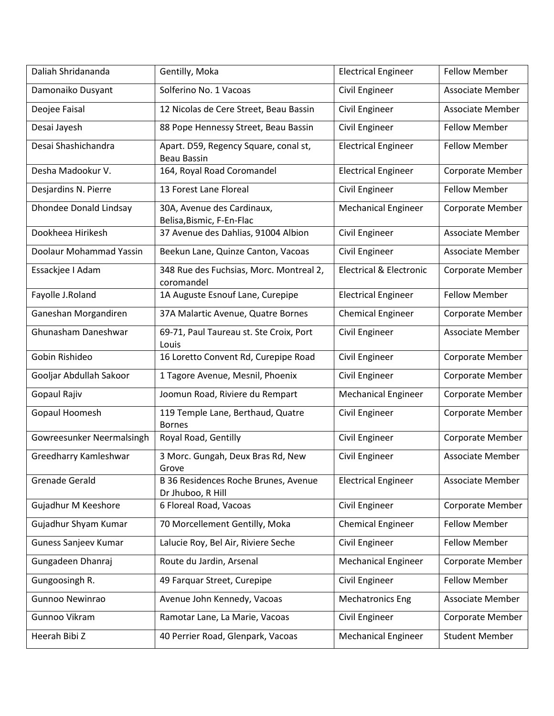| Daliah Shridananda            | Gentilly, Moka                                              | <b>Electrical Engineer</b>         | <b>Fellow Member</b>    |
|-------------------------------|-------------------------------------------------------------|------------------------------------|-------------------------|
| Damonaiko Dusyant             | Solferino No. 1 Vacoas                                      | Civil Engineer                     | <b>Associate Member</b> |
| Deojee Faisal                 | 12 Nicolas de Cere Street, Beau Bassin                      | Civil Engineer                     | Associate Member        |
| Desai Jayesh                  | 88 Pope Hennessy Street, Beau Bassin                        | Civil Engineer                     | <b>Fellow Member</b>    |
| Desai Shashichandra           | Apart. D59, Regency Square, conal st,<br><b>Beau Bassin</b> | <b>Electrical Engineer</b>         | <b>Fellow Member</b>    |
| Desha Madookur V.             | 164, Royal Road Coromandel                                  | <b>Electrical Engineer</b>         | Corporate Member        |
| Desjardins N. Pierre          | 13 Forest Lane Floreal                                      | Civil Engineer                     | <b>Fellow Member</b>    |
| <b>Dhondee Donald Lindsay</b> | 30A, Avenue des Cardinaux,<br>Belisa, Bismic, F-En-Flac     | <b>Mechanical Engineer</b>         | Corporate Member        |
| Dookheea Hirikesh             | 37 Avenue des Dahlias, 91004 Albion                         | Civil Engineer                     | <b>Associate Member</b> |
| Doolaur Mohammad Yassin       | Beekun Lane, Quinze Canton, Vacoas                          | Civil Engineer                     | <b>Associate Member</b> |
| Essackjee I Adam              | 348 Rue des Fuchsias, Morc. Montreal 2,<br>coromandel       | <b>Electrical &amp; Electronic</b> | Corporate Member        |
| Fayolle J.Roland              | 1A Auguste Esnouf Lane, Curepipe                            | <b>Electrical Engineer</b>         | <b>Fellow Member</b>    |
| Ganeshan Morgandiren          | 37A Malartic Avenue, Quatre Bornes                          | <b>Chemical Engineer</b>           | Corporate Member        |
| Ghunasham Daneshwar           | 69-71, Paul Taureau st. Ste Croix, Port<br>Louis            | Civil Engineer                     | <b>Associate Member</b> |
| Gobin Rishideo                | 16 Loretto Convent Rd, Curepipe Road                        | Civil Engineer                     | Corporate Member        |
| Gooljar Abdullah Sakoor       | 1 Tagore Avenue, Mesnil, Phoenix                            | Civil Engineer                     | Corporate Member        |
| Gopaul Rajiv                  | Joomun Road, Riviere du Rempart                             | <b>Mechanical Engineer</b>         | Corporate Member        |
| Gopaul Hoomesh                | 119 Temple Lane, Berthaud, Quatre<br><b>Bornes</b>          | Civil Engineer                     | Corporate Member        |
| Gowreesunker Neermalsingh     | Royal Road, Gentilly                                        | Civil Engineer                     | Corporate Member        |
| Greedharry Kamleshwar         | 3 Morc. Gungah, Deux Bras Rd, New<br>Grove                  | Civil Engineer                     | <b>Associate Member</b> |
| <b>Grenade Gerald</b>         | B 36 Residences Roche Brunes, Avenue<br>Dr Jhuboo, R Hill   | <b>Electrical Engineer</b>         | Associate Member        |
| Gujadhur M Keeshore           | 6 Floreal Road, Vacoas                                      | Civil Engineer                     | Corporate Member        |
| Gujadhur Shyam Kumar          | 70 Morcellement Gentilly, Moka                              | <b>Chemical Engineer</b>           | <b>Fellow Member</b>    |
| Guness Sanjeev Kumar          | Lalucie Roy, Bel Air, Riviere Seche                         | Civil Engineer                     | <b>Fellow Member</b>    |
| Gungadeen Dhanraj             | Route du Jardin, Arsenal                                    | <b>Mechanical Engineer</b>         | Corporate Member        |
| Gungoosingh R.                | 49 Farquar Street, Curepipe                                 | Civil Engineer                     | <b>Fellow Member</b>    |
| Gunnoo Newinrao               | Avenue John Kennedy, Vacoas                                 | <b>Mechatronics Eng</b>            | Associate Member        |
| Gunnoo Vikram                 | Ramotar Lane, La Marie, Vacoas                              | Civil Engineer                     | Corporate Member        |
| Heerah Bibi Z                 | 40 Perrier Road, Glenpark, Vacoas                           | <b>Mechanical Engineer</b>         | <b>Student Member</b>   |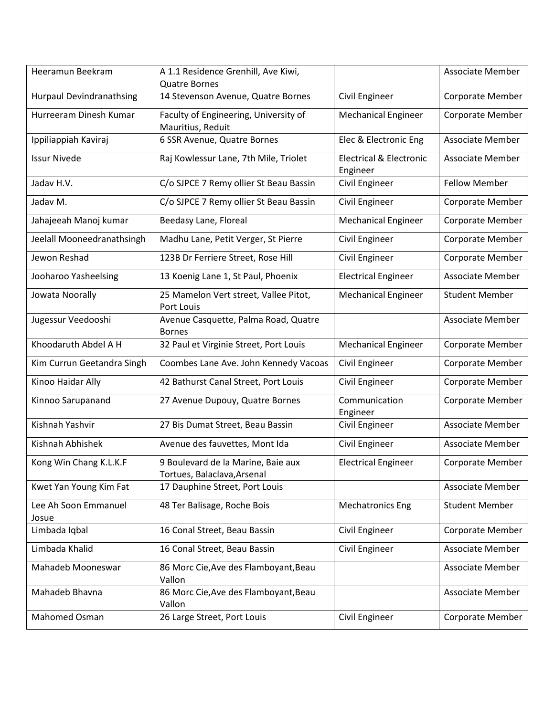| Heeramun Beekram                | A 1.1 Residence Grenhill, Ave Kiwi,<br><b>Quatre Bornes</b>       |                                                | <b>Associate Member</b> |
|---------------------------------|-------------------------------------------------------------------|------------------------------------------------|-------------------------|
| <b>Hurpaul Devindranathsing</b> | 14 Stevenson Avenue, Quatre Bornes                                | Civil Engineer                                 | Corporate Member        |
| Hurreeram Dinesh Kumar          | Faculty of Engineering, University of<br>Mauritius, Reduit        | <b>Mechanical Engineer</b>                     | Corporate Member        |
| Ippiliappiah Kaviraj            | 6 SSR Avenue, Quatre Bornes                                       | Elec & Electronic Eng                          | <b>Associate Member</b> |
| <b>Issur Nivede</b>             | Raj Kowlessur Lane, 7th Mile, Triolet                             | <b>Electrical &amp; Electronic</b><br>Engineer | Associate Member        |
| Jadav H.V.                      | C/o SJPCE 7 Remy ollier St Beau Bassin                            | Civil Engineer                                 | <b>Fellow Member</b>    |
| Jadav M.                        | C/o SJPCE 7 Remy ollier St Beau Bassin                            | Civil Engineer                                 | Corporate Member        |
| Jahajeeah Manoj kumar           | Beedasy Lane, Floreal                                             | <b>Mechanical Engineer</b>                     | Corporate Member        |
| Jeelall Mooneedranathsingh      | Madhu Lane, Petit Verger, St Pierre                               | Civil Engineer                                 | Corporate Member        |
| Jewon Reshad                    | 123B Dr Ferriere Street, Rose Hill                                | Civil Engineer                                 | Corporate Member        |
| Jooharoo Yasheelsing            | 13 Koenig Lane 1, St Paul, Phoenix                                | <b>Electrical Engineer</b>                     | <b>Associate Member</b> |
| Jowata Noorally                 | 25 Mamelon Vert street, Vallee Pitot,<br>Port Louis               | <b>Mechanical Engineer</b>                     | <b>Student Member</b>   |
| Jugessur Veedooshi              | Avenue Casquette, Palma Road, Quatre<br><b>Bornes</b>             |                                                | <b>Associate Member</b> |
| Khoodaruth Abdel A H            | 32 Paul et Virginie Street, Port Louis                            | <b>Mechanical Engineer</b>                     | Corporate Member        |
| Kim Currun Geetandra Singh      | Coombes Lane Ave. John Kennedy Vacoas                             | Civil Engineer                                 | Corporate Member        |
| Kinoo Haidar Ally               | 42 Bathurst Canal Street, Port Louis                              | Civil Engineer                                 | Corporate Member        |
| Kinnoo Sarupanand               | 27 Avenue Dupouy, Quatre Bornes                                   | Communication<br>Engineer                      | Corporate Member        |
| Kishnah Yashvir                 | 27 Bis Dumat Street, Beau Bassin                                  | Civil Engineer                                 | <b>Associate Member</b> |
| Kishnah Abhishek                | Avenue des fauvettes, Mont Ida                                    | Civil Engineer                                 | <b>Associate Member</b> |
| Kong Win Chang K.L.K.F          | 9 Boulevard de la Marine, Baie aux<br>Tortues, Balaclava, Arsenal | <b>Electrical Engineer</b>                     | Corporate Member        |
| Kwet Yan Young Kim Fat          | 17 Dauphine Street, Port Louis                                    |                                                | <b>Associate Member</b> |
| Lee Ah Soon Emmanuel<br>Josue   | 48 Ter Balisage, Roche Bois                                       | <b>Mechatronics Eng</b>                        | <b>Student Member</b>   |
| Limbada Iqbal                   | 16 Conal Street, Beau Bassin                                      | Civil Engineer                                 | Corporate Member        |
| Limbada Khalid                  | 16 Conal Street, Beau Bassin                                      | Civil Engineer                                 | <b>Associate Member</b> |
| Mahadeb Mooneswar               | 86 Morc Cie, Ave des Flamboyant, Beau<br>Vallon                   |                                                | <b>Associate Member</b> |
| Mahadeb Bhavna                  | 86 Morc Cie, Ave des Flamboyant, Beau<br>Vallon                   |                                                | <b>Associate Member</b> |
| Mahomed Osman                   | 26 Large Street, Port Louis                                       | Civil Engineer                                 | Corporate Member        |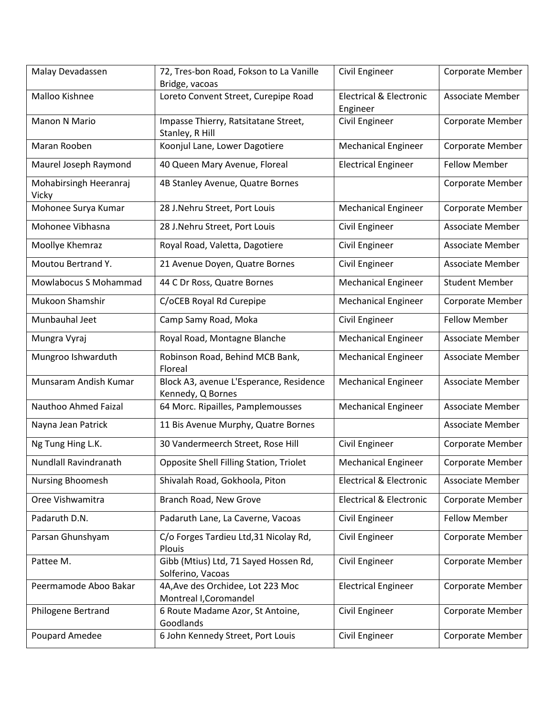| Malay Devadassen                | 72, Tres-bon Road, Fokson to La Vanille<br>Bridge, vacoas    | Civil Engineer                                 | Corporate Member        |
|---------------------------------|--------------------------------------------------------------|------------------------------------------------|-------------------------|
| Malloo Kishnee                  | Loreto Convent Street, Curepipe Road                         | <b>Electrical &amp; Electronic</b><br>Engineer | <b>Associate Member</b> |
| Manon N Mario                   | Impasse Thierry, Ratsitatane Street,<br>Stanley, R Hill      | Civil Engineer                                 | Corporate Member        |
| Maran Rooben                    | Koonjul Lane, Lower Dagotiere                                | <b>Mechanical Engineer</b>                     | Corporate Member        |
| Maurel Joseph Raymond           | 40 Queen Mary Avenue, Floreal                                | <b>Electrical Engineer</b>                     | <b>Fellow Member</b>    |
| Mohabirsingh Heeranraj<br>Vicky | 4B Stanley Avenue, Quatre Bornes                             |                                                | Corporate Member        |
| Mohonee Surya Kumar             | 28 J.Nehru Street, Port Louis                                | <b>Mechanical Engineer</b>                     | Corporate Member        |
| Mohonee Vibhasna                | 28 J.Nehru Street, Port Louis                                | Civil Engineer                                 | Associate Member        |
| Moollye Khemraz                 | Royal Road, Valetta, Dagotiere                               | Civil Engineer                                 | <b>Associate Member</b> |
| Moutou Bertrand Y.              | 21 Avenue Doyen, Quatre Bornes                               | Civil Engineer                                 | <b>Associate Member</b> |
| Mowlabocus S Mohammad           | 44 C Dr Ross, Quatre Bornes                                  | <b>Mechanical Engineer</b>                     | <b>Student Member</b>   |
| Mukoon Shamshir                 | C/oCEB Royal Rd Curepipe                                     | <b>Mechanical Engineer</b>                     | Corporate Member        |
| Munbauhal Jeet                  | Camp Samy Road, Moka                                         | Civil Engineer                                 | <b>Fellow Member</b>    |
| Mungra Vyraj                    | Royal Road, Montagne Blanche                                 | <b>Mechanical Engineer</b>                     | Associate Member        |
| Mungroo Ishwarduth              | Robinson Road, Behind MCB Bank,<br>Floreal                   | <b>Mechanical Engineer</b>                     | Associate Member        |
| Munsaram Andish Kumar           | Block A3, avenue L'Esperance, Residence<br>Kennedy, Q Bornes | <b>Mechanical Engineer</b>                     | <b>Associate Member</b> |
| Nauthoo Ahmed Faizal            | 64 Morc. Ripailles, Pamplemousses                            | <b>Mechanical Engineer</b>                     | <b>Associate Member</b> |
| Nayna Jean Patrick              | 11 Bis Avenue Murphy, Quatre Bornes                          |                                                | <b>Associate Member</b> |
| Ng Tung Hing L.K.               | 30 Vandermeerch Street, Rose Hill                            | Civil Engineer                                 | Corporate Member        |
| Nundlall Ravindranath           | Opposite Shell Filling Station, Triolet                      | <b>Mechanical Engineer</b>                     | Corporate Member        |
| <b>Nursing Bhoomesh</b>         | Shivalah Road, Gokhoola, Piton                               | <b>Electrical &amp; Electronic</b>             | <b>Associate Member</b> |
| Oree Vishwamitra                | Branch Road, New Grove                                       | <b>Electrical &amp; Electronic</b>             | Corporate Member        |
| Padaruth D.N.                   | Padaruth Lane, La Caverne, Vacoas                            | Civil Engineer                                 | <b>Fellow Member</b>    |
| Parsan Ghunshyam                | C/o Forges Tardieu Ltd, 31 Nicolay Rd,<br>Plouis             | Civil Engineer                                 | Corporate Member        |
| Pattee M.                       | Gibb (Mtius) Ltd, 71 Sayed Hossen Rd,<br>Solferino, Vacoas   | Civil Engineer                                 | Corporate Member        |
| Peermamode Aboo Bakar           | 4A, Ave des Orchidee, Lot 223 Moc<br>Montreal I, Coromandel  | <b>Electrical Engineer</b>                     | Corporate Member        |
| Philogene Bertrand              | 6 Route Madame Azor, St Antoine,<br>Goodlands                | Civil Engineer                                 | Corporate Member        |
| Poupard Amedee                  | 6 John Kennedy Street, Port Louis                            | Civil Engineer                                 | Corporate Member        |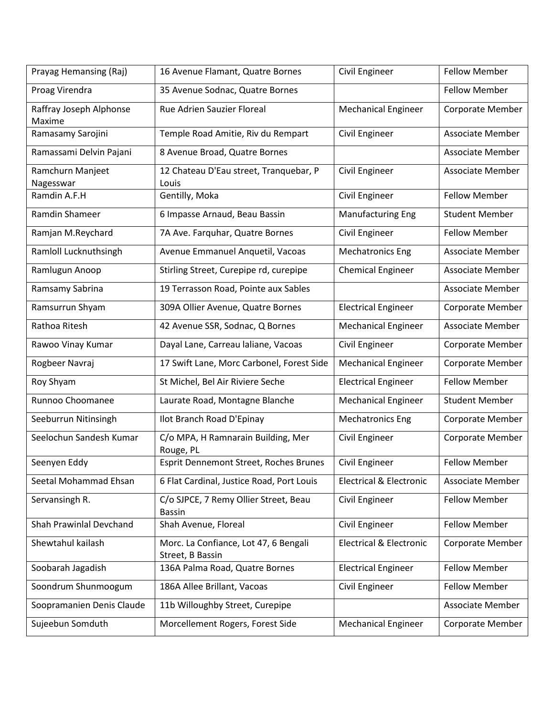| Prayag Hemansing (Raj)            | 16 Avenue Flamant, Quatre Bornes                          | Civil Engineer                     | <b>Fellow Member</b>    |
|-----------------------------------|-----------------------------------------------------------|------------------------------------|-------------------------|
| Proag Virendra                    | 35 Avenue Sodnac, Quatre Bornes                           |                                    | <b>Fellow Member</b>    |
| Raffray Joseph Alphonse<br>Maxime | Rue Adrien Sauzier Floreal                                | <b>Mechanical Engineer</b>         | Corporate Member        |
| Ramasamy Sarojini                 | Temple Road Amitie, Riv du Rempart                        | Civil Engineer                     | <b>Associate Member</b> |
| Ramassami Delvin Pajani           | 8 Avenue Broad, Quatre Bornes                             |                                    | Associate Member        |
| Ramchurn Manjeet<br>Nagesswar     | 12 Chateau D'Eau street, Tranquebar, P<br>Louis           | Civil Engineer                     | <b>Associate Member</b> |
| Ramdin A.F.H                      | Gentilly, Moka                                            | Civil Engineer                     | <b>Fellow Member</b>    |
| Ramdin Shameer                    | 6 Impasse Arnaud, Beau Bassin                             | <b>Manufacturing Eng</b>           | <b>Student Member</b>   |
| Ramjan M.Reychard                 | 7A Ave. Farquhar, Quatre Bornes                           | Civil Engineer                     | <b>Fellow Member</b>    |
| Ramloll Lucknuthsingh             | Avenue Emmanuel Anquetil, Vacoas                          | <b>Mechatronics Eng</b>            | <b>Associate Member</b> |
| Ramlugun Anoop                    | Stirling Street, Curepipe rd, curepipe                    | <b>Chemical Engineer</b>           | Associate Member        |
| Ramsamy Sabrina                   | 19 Terrasson Road, Pointe aux Sables                      |                                    | Associate Member        |
| Ramsurrun Shyam                   | 309A Ollier Avenue, Quatre Bornes                         | <b>Electrical Engineer</b>         | Corporate Member        |
| Rathoa Ritesh                     | 42 Avenue SSR, Sodnac, Q Bornes                           | <b>Mechanical Engineer</b>         | <b>Associate Member</b> |
| Rawoo Vinay Kumar                 | Dayal Lane, Carreau laliane, Vacoas                       | Civil Engineer                     | Corporate Member        |
| Rogbeer Navraj                    | 17 Swift Lane, Morc Carbonel, Forest Side                 | <b>Mechanical Engineer</b>         | Corporate Member        |
| Roy Shyam                         | St Michel, Bel Air Riviere Seche                          | <b>Electrical Engineer</b>         | <b>Fellow Member</b>    |
| Runnoo Choomanee                  | Laurate Road, Montagne Blanche                            | <b>Mechanical Engineer</b>         | <b>Student Member</b>   |
| Seeburrun Nitinsingh              | Ilot Branch Road D'Epinay                                 | <b>Mechatronics Eng</b>            | Corporate Member        |
| Seelochun Sandesh Kumar           | C/o MPA, H Ramnarain Building, Mer<br>Rouge, PL           | Civil Engineer                     | Corporate Member        |
| Seenyen Eddy                      | Esprit Dennemont Street, Roches Brunes                    | Civil Engineer                     | <b>Fellow Member</b>    |
| Seetal Mohammad Ehsan             | 6 Flat Cardinal, Justice Road, Port Louis                 | <b>Electrical &amp; Electronic</b> | <b>Associate Member</b> |
| Servansingh R.                    | C/o SJPCE, 7 Remy Ollier Street, Beau<br><b>Bassin</b>    | Civil Engineer                     | <b>Fellow Member</b>    |
| Shah Prawinlal Devchand           | Shah Avenue, Floreal                                      | Civil Engineer                     | <b>Fellow Member</b>    |
| Shewtahul kailash                 | Morc. La Confiance, Lot 47, 6 Bengali<br>Street, B Bassin | <b>Electrical &amp; Electronic</b> | Corporate Member        |
| Soobarah Jagadish                 | 136A Palma Road, Quatre Bornes                            | <b>Electrical Engineer</b>         | <b>Fellow Member</b>    |
| Soondrum Shunmoogum               | 186A Allee Brillant, Vacoas                               | Civil Engineer                     | <b>Fellow Member</b>    |
| Soopramanien Denis Claude         | 11b Willoughby Street, Curepipe                           |                                    | <b>Associate Member</b> |
| Sujeebun Somduth                  | Morcellement Rogers, Forest Side                          | <b>Mechanical Engineer</b>         | Corporate Member        |